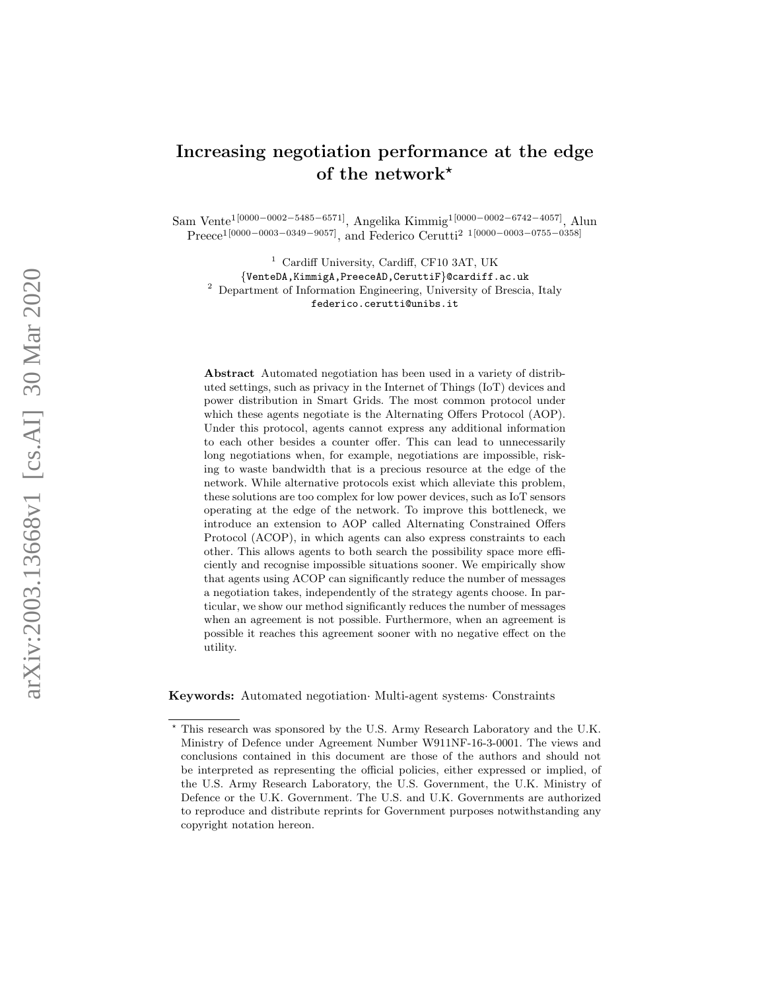# Increasing negotiation performance at the edge of the network<sup>\*</sup>

Sam Vente<sup>1</sup><sup>[0000–0002–5485–6571]</sup>, Angelika Kimmig<sup>1</sup><sup>[0000–0002–6742–4057]</sup>, Alun Preece<sup>1[0000–0003–0349–9057]</sup>, and Federico Cerutti<sup>2</sup><sup>1[0000–0003–0755–0358]</sup>

 $^{\rm 1}$  Cardiff University, Cardiff, CF10 3AT, UK {VenteDA,KimmigA,PreeceAD,CeruttiF }@cardiff.ac.uk <sup>2</sup> Department of Information Engineering, University of Brescia, Italy federico.cerutti@unibs.it

Abstract Automated negotiation has been used in a variety of distributed settings, such as privacy in the Internet of Things (IoT) devices and power distribution in Smart Grids. The most common protocol under which these agents negotiate is the Alternating Offers Protocol (AOP). Under this protocol, agents cannot express any additional information to each other besides a counter offer. This can lead to unnecessarily long negotiations when, for example, negotiations are impossible, risking to waste bandwidth that is a precious resource at the edge of the network. While alternative protocols exist which alleviate this problem, these solutions are too complex for low power devices, such as IoT sensors operating at the edge of the network. To improve this bottleneck, we introduce an extension to AOP called Alternating Constrained Offers Protocol (ACOP), in which agents can also express constraints to each other. This allows agents to both search the possibility space more efficiently and recognise impossible situations sooner. We empirically show that agents using ACOP can significantly reduce the number of messages a negotiation takes, independently of the strategy agents choose. In particular, we show our method significantly reduces the number of messages when an agreement is not possible. Furthermore, when an agreement is possible it reaches this agreement sooner with no negative effect on the utility.

Keywords: Automated negotiation Multi-agent systems Constraints

<sup>?</sup> This research was sponsored by the U.S. Army Research Laboratory and the U.K. Ministry of Defence under Agreement Number W911NF-16-3-0001. The views and conclusions contained in this document are those of the authors and should not be interpreted as representing the official policies, either expressed or implied, of the U.S. Army Research Laboratory, the U.S. Government, the U.K. Ministry of Defence or the U.K. Government. The U.S. and U.K. Governments are authorized to reproduce and distribute reprints for Government purposes notwithstanding any copyright notation hereon.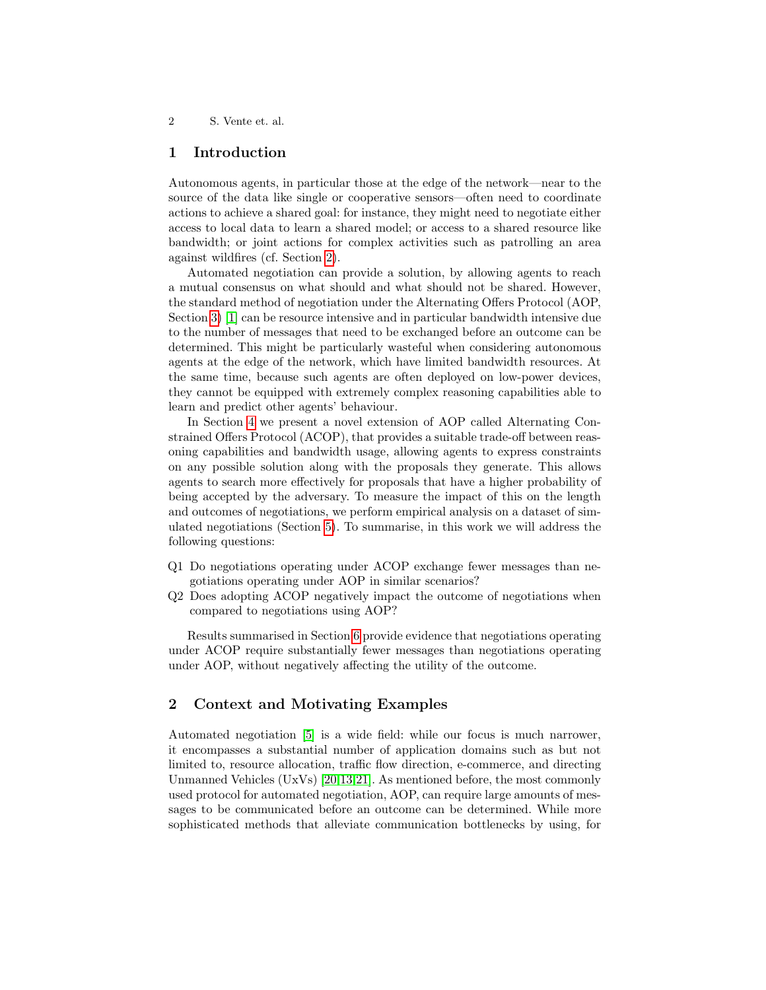### 1 Introduction

Autonomous agents, in particular those at the edge of the network—near to the source of the data like single or cooperative sensors—often need to coordinate actions to achieve a shared goal: for instance, they might need to negotiate either access to local data to learn a shared model; or access to a shared resource like bandwidth; or joint actions for complex activities such as patrolling an area against wildfires (cf. Section [2\)](#page-1-0).

Automated negotiation can provide a solution, by allowing agents to reach a mutual consensus on what should and what should not be shared. However, the standard method of negotiation under the Alternating Offers Protocol (AOP, Section [3\)](#page-3-0) [\[1\]](#page-13-0) can be resource intensive and in particular bandwidth intensive due to the number of messages that need to be exchanged before an outcome can be determined. This might be particularly wasteful when considering autonomous agents at the edge of the network, which have limited bandwidth resources. At the same time, because such agents are often deployed on low-power devices, they cannot be equipped with extremely complex reasoning capabilities able to learn and predict other agents' behaviour.

In Section [4](#page-4-0) we present a novel extension of AOP called Alternating Constrained Offers Protocol (ACOP), that provides a suitable trade-off between reasoning capabilities and bandwidth usage, allowing agents to express constraints on any possible solution along with the proposals they generate. This allows agents to search more effectively for proposals that have a higher probability of being accepted by the adversary. To measure the impact of this on the length and outcomes of negotiations, we perform empirical analysis on a dataset of simulated negotiations (Section [5\)](#page-5-0). To summarise, in this work we will address the following questions:

- Q1 Do negotiations operating under ACOP exchange fewer messages than negotiations operating under AOP in similar scenarios?
- Q2 Does adopting ACOP negatively impact the outcome of negotiations when compared to negotiations using AOP?

Results summarised in Section [6](#page-9-0) provide evidence that negotiations operating under ACOP require substantially fewer messages than negotiations operating under AOP, without negatively affecting the utility of the outcome.

### <span id="page-1-0"></span>2 Context and Motivating Examples

Automated negotiation [\[5\]](#page-13-1) is a wide field: while our focus is much narrower, it encompasses a substantial number of application domains such as but not limited to, resource allocation, traffic flow direction, e-commerce, and directing Unmanned Vehicles (UxVs) [\[20,](#page-14-0)[13,](#page-14-1)[21\]](#page-14-2). As mentioned before, the most commonly used protocol for automated negotiation, AOP, can require large amounts of messages to be communicated before an outcome can be determined. While more sophisticated methods that alleviate communication bottlenecks by using, for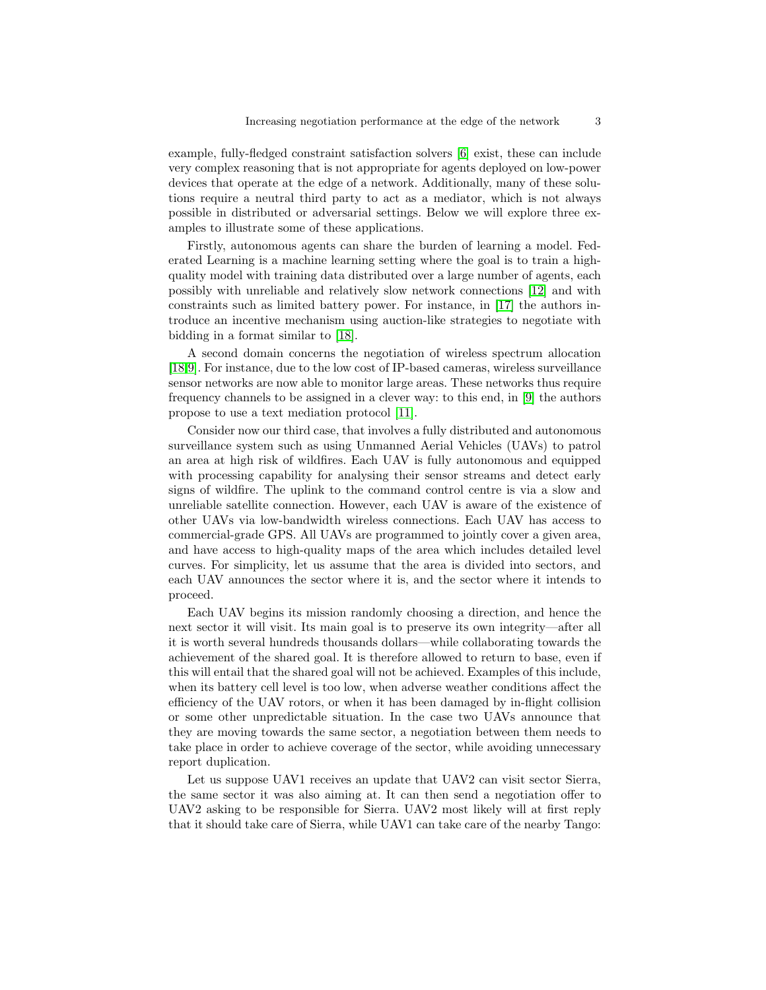example, fully-fledged constraint satisfaction solvers [\[6\]](#page-13-2) exist, these can include very complex reasoning that is not appropriate for agents deployed on low-power devices that operate at the edge of a network. Additionally, many of these solutions require a neutral third party to act as a mediator, which is not always possible in distributed or adversarial settings. Below we will explore three examples to illustrate some of these applications.

Firstly, autonomous agents can share the burden of learning a model. Federated Learning is a machine learning setting where the goal is to train a highquality model with training data distributed over a large number of agents, each possibly with unreliable and relatively slow network connections [\[12\]](#page-14-3) and with constraints such as limited battery power. For instance, in [\[17\]](#page-14-4) the authors introduce an incentive mechanism using auction-like strategies to negotiate with bidding in a format similar to [\[18\]](#page-14-5).

A second domain concerns the negotiation of wireless spectrum allocation [\[18](#page-14-5)[,9\]](#page-13-3). For instance, due to the low cost of IP-based cameras, wireless surveillance sensor networks are now able to monitor large areas. These networks thus require frequency channels to be assigned in a clever way: to this end, in [\[9\]](#page-13-3) the authors propose to use a text mediation protocol [\[11\]](#page-13-4).

Consider now our third case, that involves a fully distributed and autonomous surveillance system such as using Unmanned Aerial Vehicles (UAVs) to patrol an area at high risk of wildfires. Each UAV is fully autonomous and equipped with processing capability for analysing their sensor streams and detect early signs of wildfire. The uplink to the command control centre is via a slow and unreliable satellite connection. However, each UAV is aware of the existence of other UAVs via low-bandwidth wireless connections. Each UAV has access to commercial-grade GPS. All UAVs are programmed to jointly cover a given area, and have access to high-quality maps of the area which includes detailed level curves. For simplicity, let us assume that the area is divided into sectors, and each UAV announces the sector where it is, and the sector where it intends to proceed.

Each UAV begins its mission randomly choosing a direction, and hence the next sector it will visit. Its main goal is to preserve its own integrity—after all it is worth several hundreds thousands dollars—while collaborating towards the achievement of the shared goal. It is therefore allowed to return to base, even if this will entail that the shared goal will not be achieved. Examples of this include, when its battery cell level is too low, when adverse weather conditions affect the efficiency of the UAV rotors, or when it has been damaged by in-flight collision or some other unpredictable situation. In the case two UAVs announce that they are moving towards the same sector, a negotiation between them needs to take place in order to achieve coverage of the sector, while avoiding unnecessary report duplication.

Let us suppose UAV1 receives an update that UAV2 can visit sector Sierra, the same sector it was also aiming at. It can then send a negotiation offer to UAV2 asking to be responsible for Sierra. UAV2 most likely will at first reply that it should take care of Sierra, while UAV1 can take care of the nearby Tango: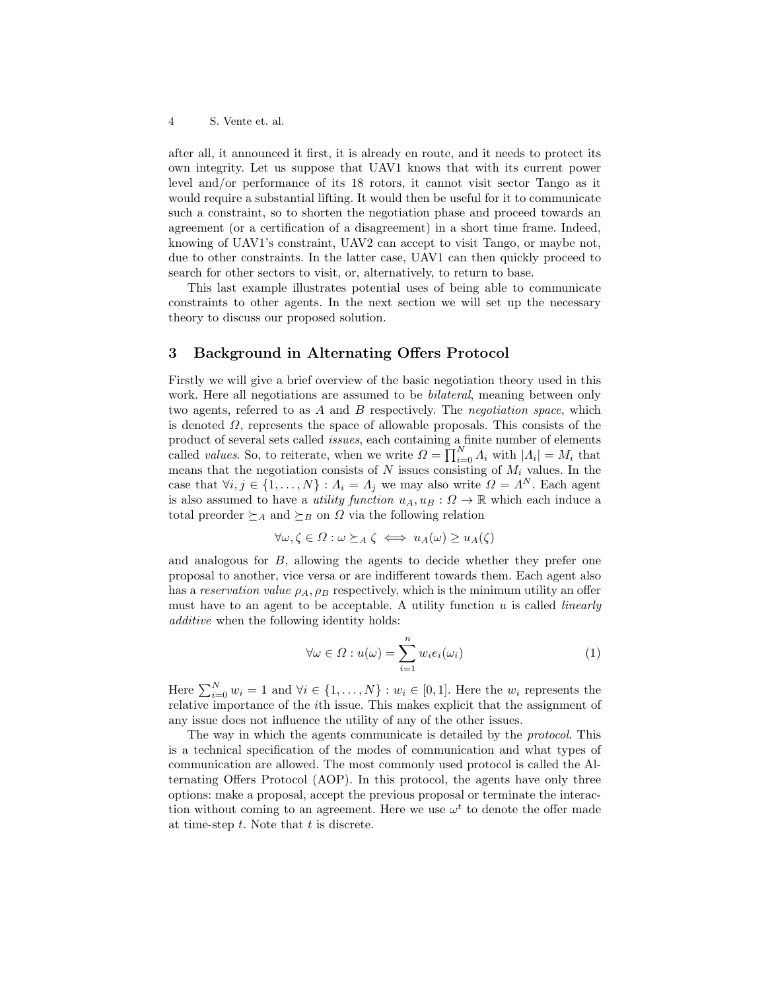after all, it announced it first, it is already en route, and it needs to protect its own integrity. Let us suppose that UAV1 knows that with its current power level and/or performance of its 18 rotors, it cannot visit sector Tango as it would require a substantial lifting. It would then be useful for it to communicate such a constraint, so to shorten the negotiation phase and proceed towards an agreement (or a certification of a disagreement) in a short time frame. Indeed, knowing of UAV1's constraint, UAV2 can accept to visit Tango, or maybe not, due to other constraints. In the latter case, UAV1 can then quickly proceed to search for other sectors to visit, or, alternatively, to return to base.

This last example illustrates potential uses of being able to communicate constraints to other agents. In the next section we will set up the necessary theory to discuss our proposed solution.

# <span id="page-3-0"></span>3 Background in Alternating Offers Protocol

Firstly we will give a brief overview of the basic negotiation theory used in this work. Here all negotiations are assumed to be *bilateral*, meaning between only two agents, referred to as A and B respectively. The negotiation space, which is denoted  $\Omega$ , represents the space of allowable proposals. This consists of the product of several sets called issues, each containing a finite number of elements called *values*. So, to reiterate, when we write  $\Omega = \prod_{i=0}^{N} A_i$  with  $|A_i| = M_i$  that means that the negotiation consists of  $N$  issues consisting of  $M_i$  values. In the case that  $\forall i, j \in \{1, ..., N\} : A_i = A_j$  we may also write  $\Omega = \Lambda^N$ . Each agent is also assumed to have a *utility function*  $u_A, u_B : \Omega \to \mathbb{R}$  which each induce a total preorder  $\succeq_A$  and  $\succeq_B$  on  $\Omega$  via the following relation

$$
\forall \omega, \zeta \in \Omega : \omega \succeq_A \zeta \iff u_A(\omega) \ge u_A(\zeta)
$$

and analogous for B, allowing the agents to decide whether they prefer one proposal to another, vice versa or are indifferent towards them. Each agent also has a reservation value  $\rho_A$ ,  $\rho_B$  respectively, which is the minimum utility an offer must have to an agent to be acceptable. A utility function  $u$  is called *linearly* additive when the following identity holds:

$$
\forall \omega \in \Omega : u(\omega) = \sum_{i=1}^{n} w_i e_i(\omega_i)
$$
 (1)

Here  $\sum_{i=0}^{N} w_i = 1$  and  $\forall i \in \{1, ..., N\} : w_i \in [0, 1]$ . Here the  $w_i$  represents the relative importance of the ith issue. This makes explicit that the assignment of any issue does not influence the utility of any of the other issues.

The way in which the agents communicate is detailed by the protocol. This is a technical specification of the modes of communication and what types of communication are allowed. The most commonly used protocol is called the Alternating Offers Protocol (AOP). In this protocol, the agents have only three options: make a proposal, accept the previous proposal or terminate the interaction without coming to an agreement. Here we use  $\omega^t$  to denote the offer made at time-step  $t$ . Note that  $t$  is discrete.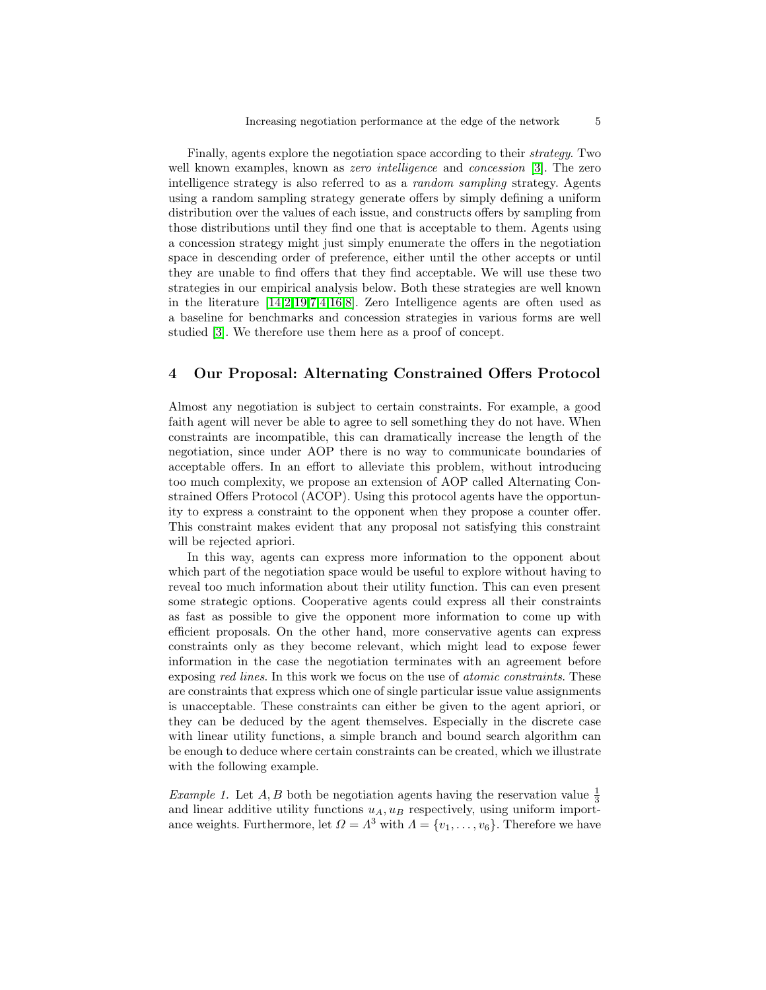Finally, agents explore the negotiation space according to their strategy. Two well known examples, known as *zero intelligence* and *concession* [\[3\]](#page-13-5). The zero intelligence strategy is also referred to as a random sampling strategy. Agents using a random sampling strategy generate offers by simply defining a uniform distribution over the values of each issue, and constructs offers by sampling from those distributions until they find one that is acceptable to them. Agents using a concession strategy might just simply enumerate the offers in the negotiation space in descending order of preference, either until the other accepts or until they are unable to find offers that they find acceptable. We will use these two strategies in our empirical analysis below. Both these strategies are well known in the literature [\[14,](#page-14-6)[2,](#page-13-6)[19](#page-14-7)[,7,](#page-13-7)[4,](#page-13-8)[16](#page-14-8)[,8\]](#page-13-9). Zero Intelligence agents are often used as a baseline for benchmarks and concession strategies in various forms are well studied [\[3\]](#page-13-5). We therefore use them here as a proof of concept.

# <span id="page-4-0"></span>4 Our Proposal: Alternating Constrained Offers Protocol

Almost any negotiation is subject to certain constraints. For example, a good faith agent will never be able to agree to sell something they do not have. When constraints are incompatible, this can dramatically increase the length of the negotiation, since under AOP there is no way to communicate boundaries of acceptable offers. In an effort to alleviate this problem, without introducing too much complexity, we propose an extension of AOP called Alternating Constrained Offers Protocol (ACOP). Using this protocol agents have the opportunity to express a constraint to the opponent when they propose a counter offer. This constraint makes evident that any proposal not satisfying this constraint will be rejected apriori.

In this way, agents can express more information to the opponent about which part of the negotiation space would be useful to explore without having to reveal too much information about their utility function. This can even present some strategic options. Cooperative agents could express all their constraints as fast as possible to give the opponent more information to come up with efficient proposals. On the other hand, more conservative agents can express constraints only as they become relevant, which might lead to expose fewer information in the case the negotiation terminates with an agreement before exposing red lines. In this work we focus on the use of atomic constraints. These are constraints that express which one of single particular issue value assignments is unacceptable. These constraints can either be given to the agent apriori, or they can be deduced by the agent themselves. Especially in the discrete case with linear utility functions, a simple branch and bound search algorithm can be enough to deduce where certain constraints can be created, which we illustrate with the following example.

<span id="page-4-1"></span>*Example 1.* Let  $A, B$  both be negotiation agents having the reservation value  $\frac{1}{3}$ and linear additive utility functions  $u_A, u_B$  respectively, using uniform importance weights. Furthermore, let  $\Omega = \Lambda^3$  with  $\Lambda = \{v_1, \ldots, v_6\}$ . Therefore we have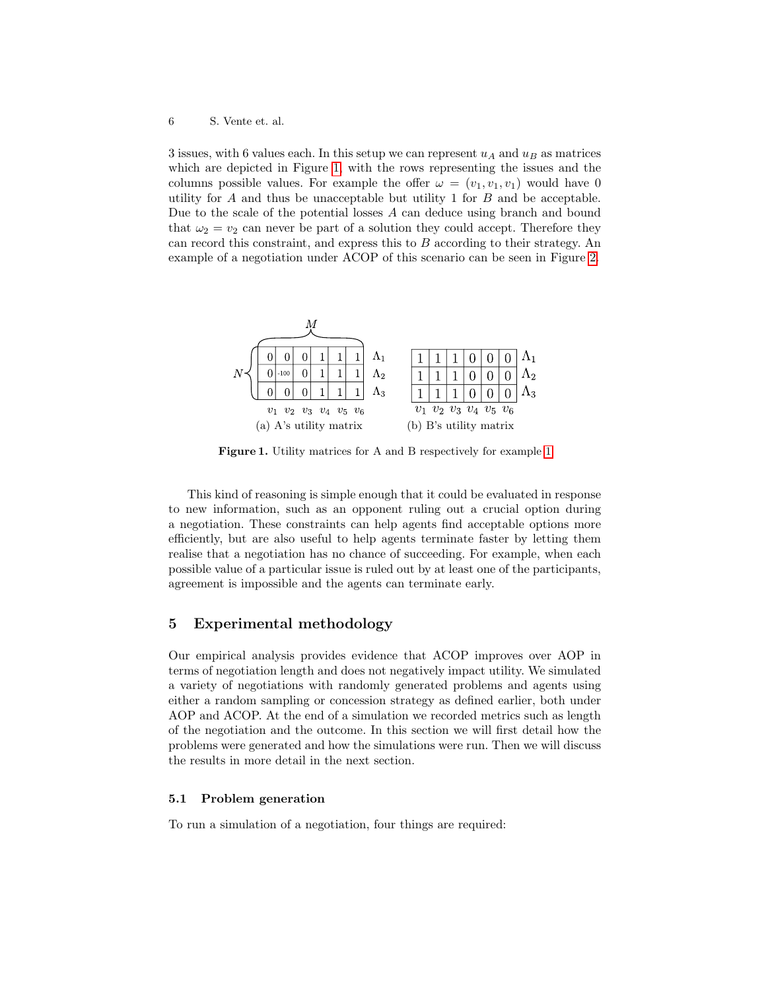3 issues, with 6 values each. In this setup we can represent  $u_A$  and  $u_B$  as matrices which are depicted in Figure [1,](#page-5-1) with the rows representing the issues and the columns possible values. For example the offer  $\omega = (v_1, v_1, v_1)$  would have 0 utility for  $A$  and thus be unacceptable but utility 1 for  $B$  and be acceptable. Due to the scale of the potential losses  $A$  can deduce using branch and bound that  $\omega_2 = v_2$  can never be part of a solution they could accept. Therefore they can record this constraint, and express this to  $B$  according to their strategy. An example of a negotiation under ACOP of this scenario can be seen in Figure [2.](#page-6-0)



<span id="page-5-1"></span>Figure 1. Utility matrices for A and B respectively for example [1](#page-4-1)

This kind of reasoning is simple enough that it could be evaluated in response to new information, such as an opponent ruling out a crucial option during a negotiation. These constraints can help agents find acceptable options more efficiently, but are also useful to help agents terminate faster by letting them realise that a negotiation has no chance of succeeding. For example, when each possible value of a particular issue is ruled out by at least one of the participants, agreement is impossible and the agents can terminate early.

# <span id="page-5-0"></span>5 Experimental methodology

Our empirical analysis provides evidence that ACOP improves over AOP in terms of negotiation length and does not negatively impact utility. We simulated a variety of negotiations with randomly generated problems and agents using either a random sampling or concession strategy as defined earlier, both under AOP and ACOP. At the end of a simulation we recorded metrics such as length of the negotiation and the outcome. In this section we will first detail how the problems were generated and how the simulations were run. Then we will discuss the results in more detail in the next section.

### 5.1 Problem generation

To run a simulation of a negotiation, four things are required: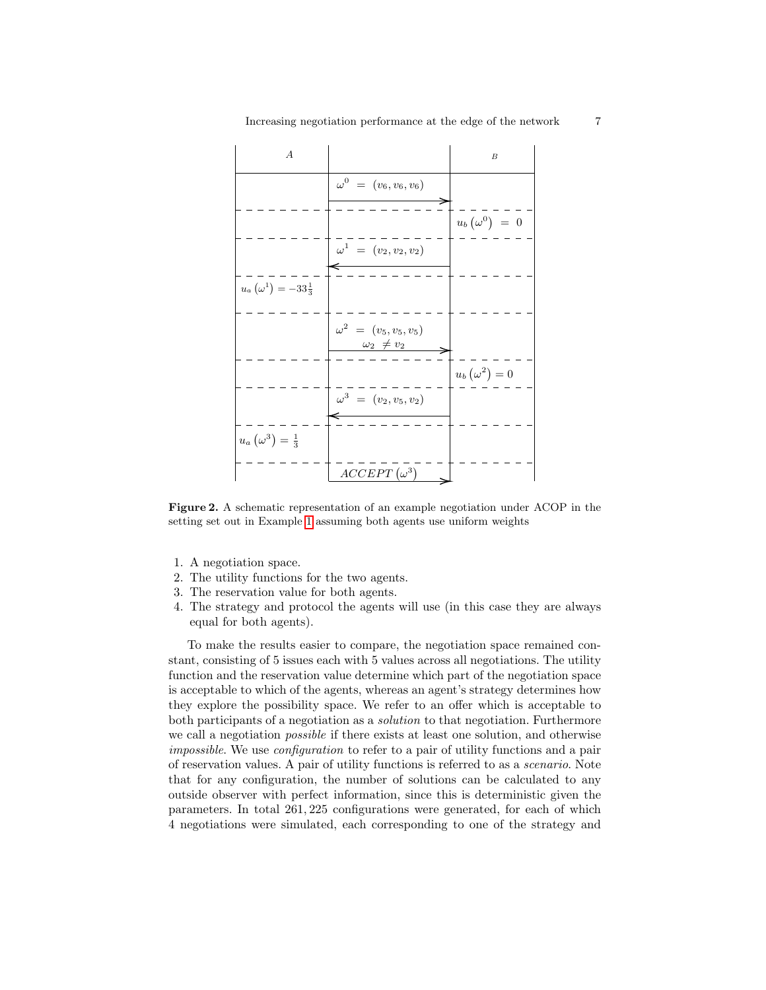| $\boldsymbol{A}$                 |                                                     | $\boldsymbol{B}$    |
|----------------------------------|-----------------------------------------------------|---------------------|
|                                  | $\omega^0 = (v_6, v_6, v_6)$                        |                     |
|                                  |                                                     | $u_b(\omega^0) = 0$ |
|                                  | $\omega^1 = (v_2, v_2, v_2)$                        |                     |
| $u_a(\omega^1) = -33\frac{1}{3}$ |                                                     |                     |
|                                  | $\omega^2 = (v_5, v_5, v_5)$<br>$\omega_2 \neq v_2$ |                     |
|                                  |                                                     | $u_b(\omega^2)=0$   |
|                                  | $\omega^3 = (v_2, v_5, v_2)$                        |                     |
| $u_a(\omega^3)=\frac{1}{3}$      |                                                     |                     |
|                                  | $ACCEPT(\omega^3)$                                  |                     |

<span id="page-6-0"></span>Figure 2. A schematic representation of an example negotiation under ACOP in the setting set out in Example [1](#page-4-1) assuming both agents use uniform weights

- 1. A negotiation space.
- 2. The utility functions for the two agents.
- 3. The reservation value for both agents.
- 4. The strategy and protocol the agents will use (in this case they are always equal for both agents).

To make the results easier to compare, the negotiation space remained constant, consisting of 5 issues each with 5 values across all negotiations. The utility function and the reservation value determine which part of the negotiation space is acceptable to which of the agents, whereas an agent's strategy determines how they explore the possibility space. We refer to an offer which is acceptable to both participants of a negotiation as a *solution* to that negotiation. Furthermore we call a negotiation *possible* if there exists at least one solution, and otherwise impossible. We use configuration to refer to a pair of utility functions and a pair of reservation values. A pair of utility functions is referred to as a scenario. Note that for any configuration, the number of solutions can be calculated to any outside observer with perfect information, since this is deterministic given the parameters. In total 261, 225 configurations were generated, for each of which 4 negotiations were simulated, each corresponding to one of the strategy and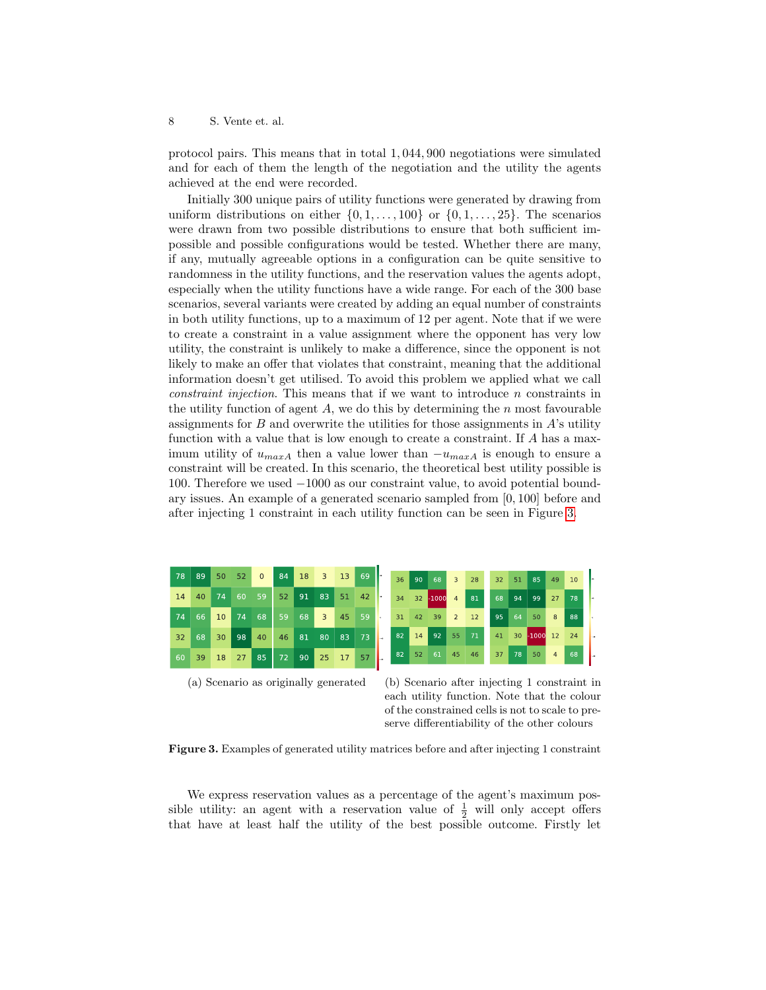protocol pairs. This means that in total 1, 044, 900 negotiations were simulated and for each of them the length of the negotiation and the utility the agents achieved at the end were recorded.

Initially 300 unique pairs of utility functions were generated by drawing from uniform distributions on either  $\{0, 1, \ldots, 100\}$  or  $\{0, 1, \ldots, 25\}$ . The scenarios were drawn from two possible distributions to ensure that both sufficient impossible and possible configurations would be tested. Whether there are many, if any, mutually agreeable options in a configuration can be quite sensitive to randomness in the utility functions, and the reservation values the agents adopt, especially when the utility functions have a wide range. For each of the 300 base scenarios, several variants were created by adding an equal number of constraints in both utility functions, up to a maximum of 12 per agent. Note that if we were to create a constraint in a value assignment where the opponent has very low utility, the constraint is unlikely to make a difference, since the opponent is not likely to make an offer that violates that constraint, meaning that the additional information doesn't get utilised. To avoid this problem we applied what we call *constraint injection*. This means that if we want to introduce  $n$  constraints in the utility function of agent A, we do this by determining the  $n$  most favourable assignments for  $B$  and overwrite the utilities for those assignments in  $A$ 's utility function with a value that is low enough to create a constraint. If A has a maximum utility of  $u_{maxA}$  then a value lower than  $-u_{maxA}$  is enough to ensure a constraint will be created. In this scenario, the theoretical best utility possible is 100. Therefore we used −1000 as our constraint value, to avoid potential boundary issues. An example of a generated scenario sampled from [0, 100] before and after injecting 1 constraint in each utility function can be seen in Figure [3.](#page-7-0)



(a) Scenario as originally generated (b) Scenario after injecting 1 constraint in each utility function. Note that the colour of the constrained cells is not to scale to preserve differentiability of the other colours

<span id="page-7-0"></span>Figure 3. Examples of generated utility matrices before and after injecting 1 constraint

We express reservation values as a percentage of the agent's maximum possible utility: an agent with a reservation value of  $\frac{1}{2}$  will only accept offers that have at least half the utility of the best possible outcome. Firstly let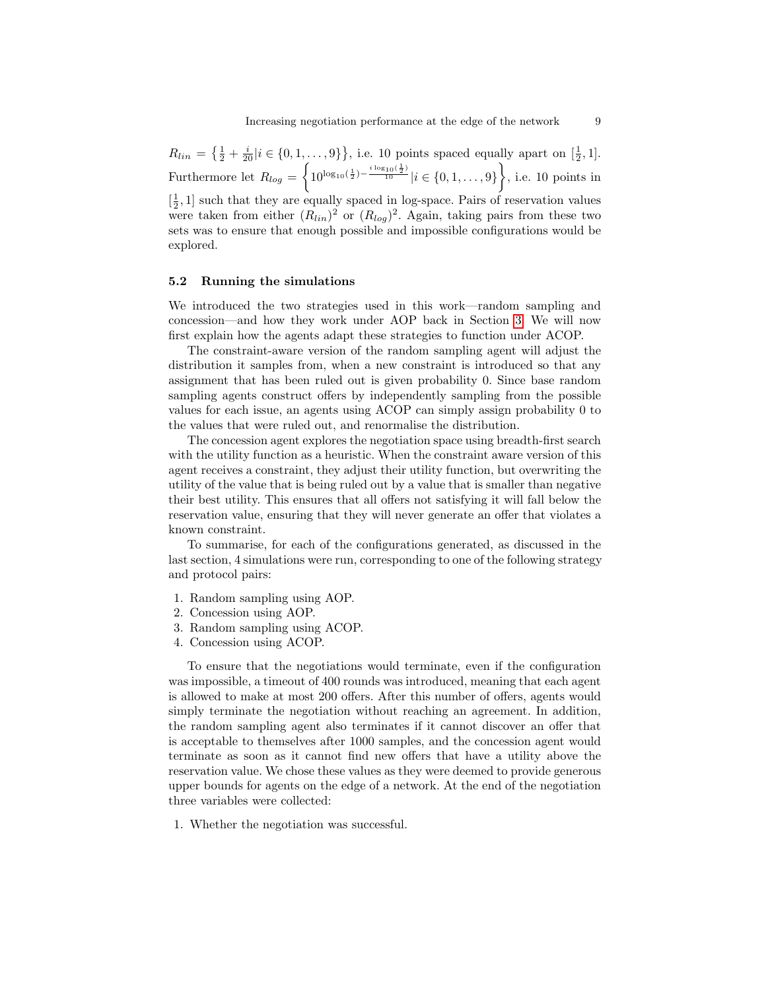$R_{lin} = \{\frac{1}{2} + \frac{i}{20} | i \in \{0, 1, ..., 9\}\},\$ i.e. 10 points spaced equally apart on  $[\frac{1}{2}, 1].$ Furthermore let  $R_{log} = \left\{10^{\log_{10}(\frac{1}{2}) - \frac{i \log_{10}(\frac{1}{2})}{10}} | i \in \{0, 1, ..., 9\}\right\}$ , i.e. 10 points in  $\left[\frac{1}{2}, 1\right]$  such that they are equally spaced in log-space. Pairs of reservation values were taken from either  $(R_{lin})^2$  or  $(R_{log})^2$ . Again, taking pairs from these two sets was to ensure that enough possible and impossible configurations would be explored.

#### 5.2 Running the simulations

We introduced the two strategies used in this work—random sampling and concession—and how they work under AOP back in Section [3.](#page-3-0) We will now first explain how the agents adapt these strategies to function under ACOP.

The constraint-aware version of the random sampling agent will adjust the distribution it samples from, when a new constraint is introduced so that any assignment that has been ruled out is given probability 0. Since base random sampling agents construct offers by independently sampling from the possible values for each issue, an agents using ACOP can simply assign probability 0 to the values that were ruled out, and renormalise the distribution.

The concession agent explores the negotiation space using breadth-first search with the utility function as a heuristic. When the constraint aware version of this agent receives a constraint, they adjust their utility function, but overwriting the utility of the value that is being ruled out by a value that is smaller than negative their best utility. This ensures that all offers not satisfying it will fall below the reservation value, ensuring that they will never generate an offer that violates a known constraint.

To summarise, for each of the configurations generated, as discussed in the last section, 4 simulations were run, corresponding to one of the following strategy and protocol pairs:

- 1. Random sampling using AOP.
- 2. Concession using AOP.
- 3. Random sampling using ACOP.
- 4. Concession using ACOP.

To ensure that the negotiations would terminate, even if the configuration was impossible, a timeout of 400 rounds was introduced, meaning that each agent is allowed to make at most 200 offers. After this number of offers, agents would simply terminate the negotiation without reaching an agreement. In addition, the random sampling agent also terminates if it cannot discover an offer that is acceptable to themselves after 1000 samples, and the concession agent would terminate as soon as it cannot find new offers that have a utility above the reservation value. We chose these values as they were deemed to provide generous upper bounds for agents on the edge of a network. At the end of the negotiation three variables were collected:

1. Whether the negotiation was successful.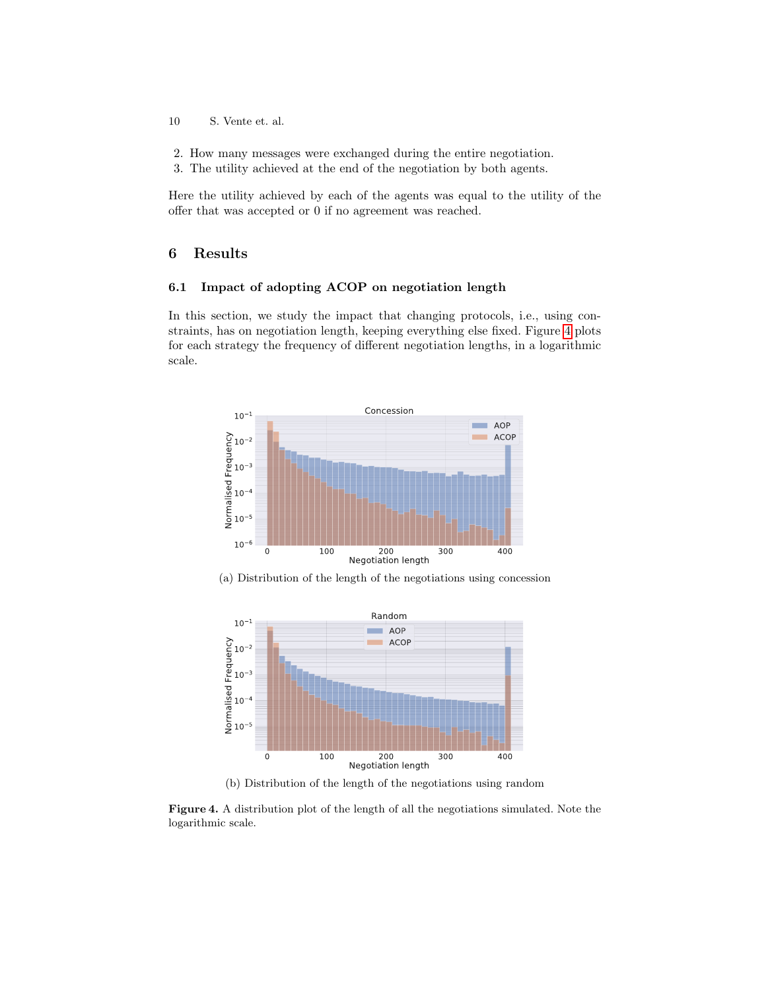- 10 S. Vente et. al.
- 2. How many messages were exchanged during the entire negotiation.
- 3. The utility achieved at the end of the negotiation by both agents.

Here the utility achieved by each of the agents was equal to the utility of the offer that was accepted or 0 if no agreement was reached.

# <span id="page-9-0"></span>6 Results

### 6.1 Impact of adopting ACOP on negotiation length

In this section, we study the impact that changing protocols, i.e., using constraints, has on negotiation length, keeping everything else fixed. Figure [4](#page-9-1) plots for each strategy the frequency of different negotiation lengths, in a logarithmic scale.



(a) Distribution of the length of the negotiations using concession



<span id="page-9-1"></span>(b) Distribution of the length of the negotiations using random

Figure 4. A distribution plot of the length of all the negotiations simulated. Note the logarithmic scale.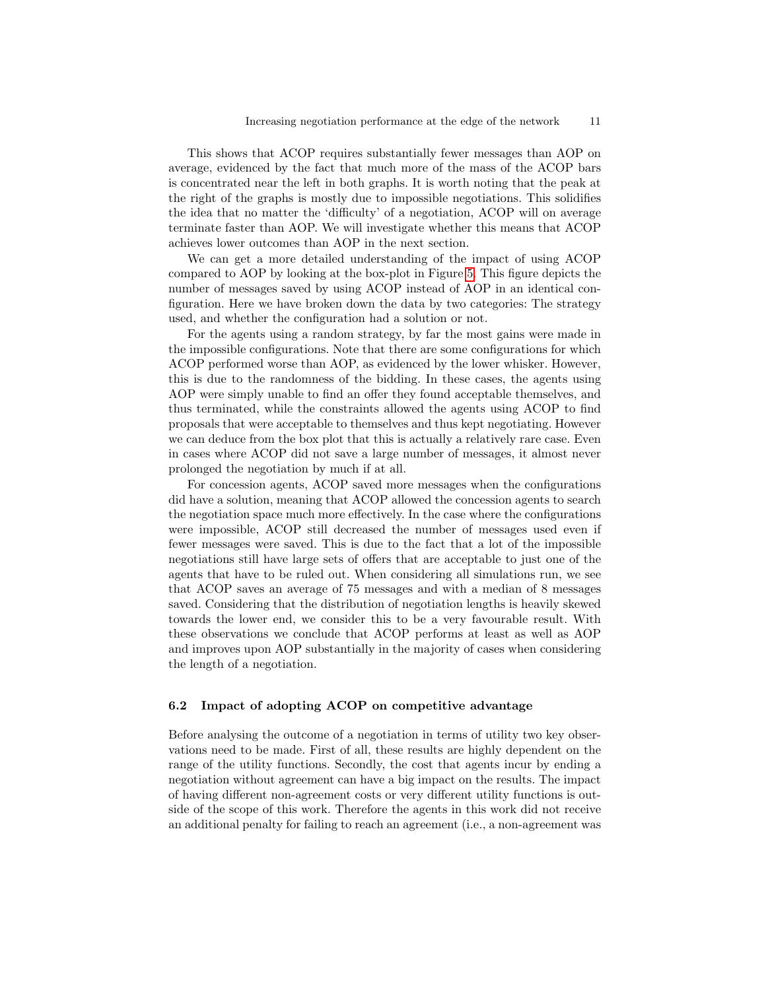This shows that ACOP requires substantially fewer messages than AOP on average, evidenced by the fact that much more of the mass of the ACOP bars is concentrated near the left in both graphs. It is worth noting that the peak at the right of the graphs is mostly due to impossible negotiations. This solidifies the idea that no matter the 'difficulty' of a negotiation, ACOP will on average terminate faster than AOP. We will investigate whether this means that ACOP achieves lower outcomes than AOP in the next section.

We can get a more detailed understanding of the impact of using ACOP compared to AOP by looking at the box-plot in Figure [5.](#page-11-0) This figure depicts the number of messages saved by using ACOP instead of AOP in an identical configuration. Here we have broken down the data by two categories: The strategy used, and whether the configuration had a solution or not.

For the agents using a random strategy, by far the most gains were made in the impossible configurations. Note that there are some configurations for which ACOP performed worse than AOP, as evidenced by the lower whisker. However, this is due to the randomness of the bidding. In these cases, the agents using AOP were simply unable to find an offer they found acceptable themselves, and thus terminated, while the constraints allowed the agents using ACOP to find proposals that were acceptable to themselves and thus kept negotiating. However we can deduce from the box plot that this is actually a relatively rare case. Even in cases where ACOP did not save a large number of messages, it almost never prolonged the negotiation by much if at all.

For concession agents, ACOP saved more messages when the configurations did have a solution, meaning that ACOP allowed the concession agents to search the negotiation space much more effectively. In the case where the configurations were impossible, ACOP still decreased the number of messages used even if fewer messages were saved. This is due to the fact that a lot of the impossible negotiations still have large sets of offers that are acceptable to just one of the agents that have to be ruled out. When considering all simulations run, we see that ACOP saves an average of 75 messages and with a median of 8 messages saved. Considering that the distribution of negotiation lengths is heavily skewed towards the lower end, we consider this to be a very favourable result. With these observations we conclude that ACOP performs at least as well as AOP and improves upon AOP substantially in the majority of cases when considering the length of a negotiation.

#### 6.2 Impact of adopting ACOP on competitive advantage

Before analysing the outcome of a negotiation in terms of utility two key observations need to be made. First of all, these results are highly dependent on the range of the utility functions. Secondly, the cost that agents incur by ending a negotiation without agreement can have a big impact on the results. The impact of having different non-agreement costs or very different utility functions is outside of the scope of this work. Therefore the agents in this work did not receive an additional penalty for failing to reach an agreement (i.e., a non-agreement was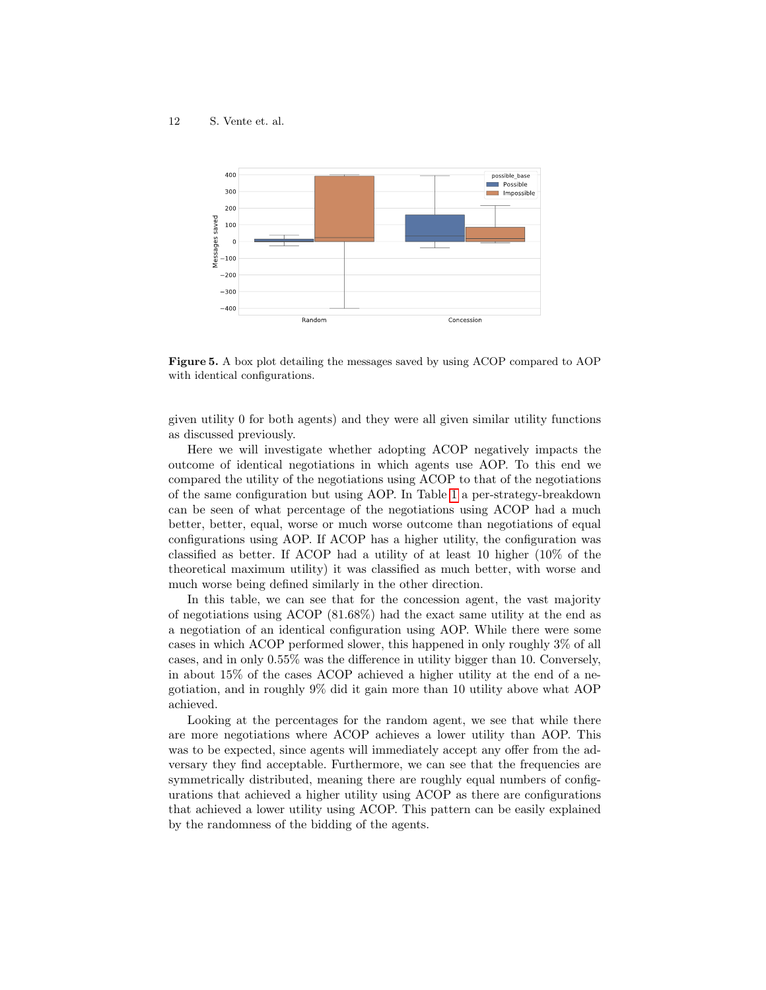

<span id="page-11-0"></span>Figure 5. A box plot detailing the messages saved by using ACOP compared to AOP with identical configurations.

given utility 0 for both agents) and they were all given similar utility functions as discussed previously.

Here we will investigate whether adopting ACOP negatively impacts the outcome of identical negotiations in which agents use AOP. To this end we compared the utility of the negotiations using ACOP to that of the negotiations of the same configuration but using AOP. In Table [1](#page-12-0) a per-strategy-breakdown can be seen of what percentage of the negotiations using ACOP had a much better, better, equal, worse or much worse outcome than negotiations of equal configurations using AOP. If ACOP has a higher utility, the configuration was classified as better. If ACOP had a utility of at least 10 higher (10% of the theoretical maximum utility) it was classified as much better, with worse and much worse being defined similarly in the other direction.

In this table, we can see that for the concession agent, the vast majority of negotiations using ACOP (81.68%) had the exact same utility at the end as a negotiation of an identical configuration using AOP. While there were some cases in which ACOP performed slower, this happened in only roughly 3% of all cases, and in only 0.55% was the difference in utility bigger than 10. Conversely, in about 15% of the cases ACOP achieved a higher utility at the end of a negotiation, and in roughly 9% did it gain more than 10 utility above what AOP achieved.

Looking at the percentages for the random agent, we see that while there are more negotiations where ACOP achieves a lower utility than AOP. This was to be expected, since agents will immediately accept any offer from the adversary they find acceptable. Furthermore, we can see that the frequencies are symmetrically distributed, meaning there are roughly equal numbers of configurations that achieved a higher utility using ACOP as there are configurations that achieved a lower utility using ACOP. This pattern can be easily explained by the randomness of the bidding of the agents.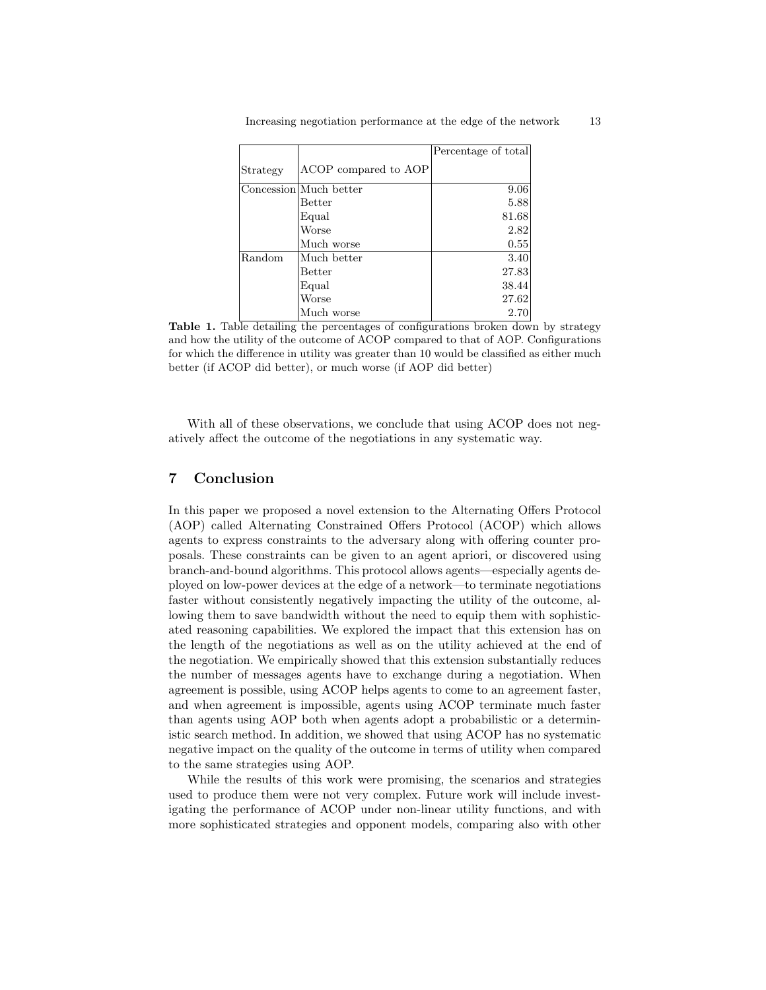|          |                        | Percentage of total |
|----------|------------------------|---------------------|
| Strategy | ACOP compared to AOP   |                     |
|          | Concession Much better | 9.06                |
|          | Better                 | 5.88                |
|          | Equal                  | 81.68               |
|          | Worse                  | 2.82                |
|          | Much worse             | 0.55                |
| Random   | Much better            | 3.40                |
|          | Better                 | 27.83               |
|          | Equal                  | 38.44               |
|          | Worse                  | 27.62               |
|          | Much worse             | 2.70                |

<span id="page-12-0"></span>Table 1. Table detailing the percentages of configurations broken down by strategy and how the utility of the outcome of ACOP compared to that of AOP. Configurations for which the difference in utility was greater than 10 would be classified as either much better (if ACOP did better), or much worse (if AOP did better)

With all of these observations, we conclude that using ACOP does not negatively affect the outcome of the negotiations in any systematic way.

### 7 Conclusion

In this paper we proposed a novel extension to the Alternating Offers Protocol (AOP) called Alternating Constrained Offers Protocol (ACOP) which allows agents to express constraints to the adversary along with offering counter proposals. These constraints can be given to an agent apriori, or discovered using branch-and-bound algorithms. This protocol allows agents—especially agents deployed on low-power devices at the edge of a network—to terminate negotiations faster without consistently negatively impacting the utility of the outcome, allowing them to save bandwidth without the need to equip them with sophisticated reasoning capabilities. We explored the impact that this extension has on the length of the negotiations as well as on the utility achieved at the end of the negotiation. We empirically showed that this extension substantially reduces the number of messages agents have to exchange during a negotiation. When agreement is possible, using ACOP helps agents to come to an agreement faster, and when agreement is impossible, agents using ACOP terminate much faster than agents using AOP both when agents adopt a probabilistic or a deterministic search method. In addition, we showed that using ACOP has no systematic negative impact on the quality of the outcome in terms of utility when compared to the same strategies using AOP.

While the results of this work were promising, the scenarios and strategies used to produce them were not very complex. Future work will include investigating the performance of ACOP under non-linear utility functions, and with more sophisticated strategies and opponent models, comparing also with other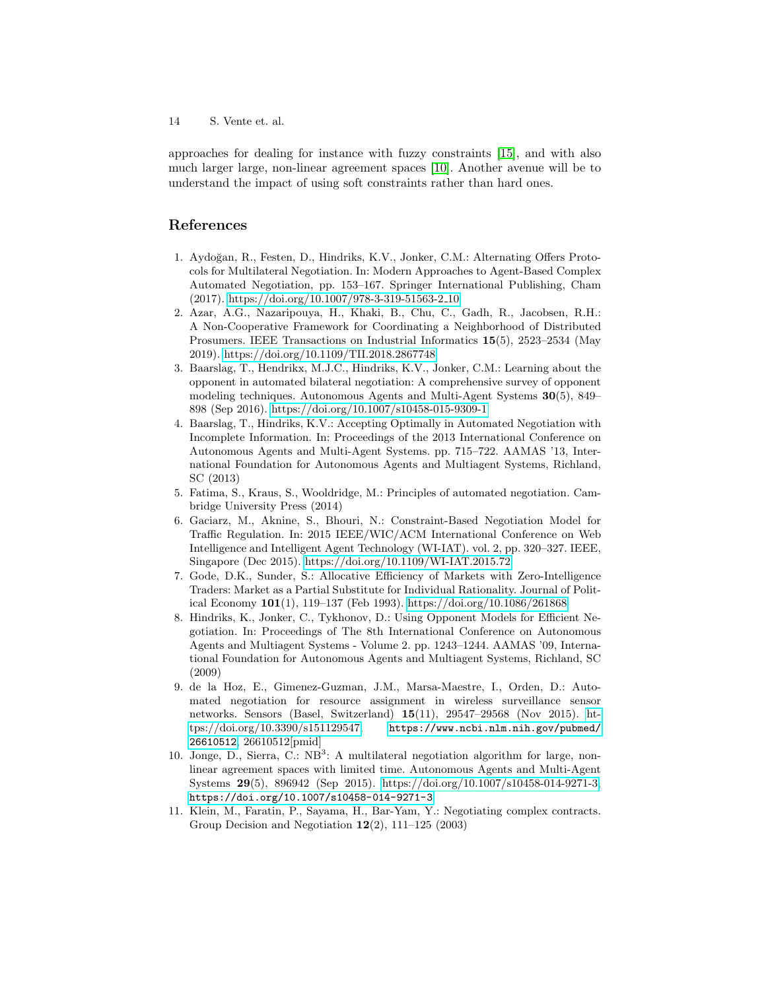approaches for dealing for instance with fuzzy constraints [\[15\]](#page-14-9), and with also much larger large, non-linear agreement spaces [\[10\]](#page-13-10). Another avenue will be to understand the impact of using soft constraints rather than hard ones.

# References

- <span id="page-13-0"></span>1. Aydo˘gan, R., Festen, D., Hindriks, K.V., Jonker, C.M.: Alternating Offers Protocols for Multilateral Negotiation. In: Modern Approaches to Agent-Based Complex Automated Negotiation, pp. 153–167. Springer International Publishing, Cham (2017). [https://doi.org/10.1007/978-3-319-51563-2](https://doi.org/10.1007/978-3-319-51563-2_10) 10
- <span id="page-13-6"></span>2. Azar, A.G., Nazaripouya, H., Khaki, B., Chu, C., Gadh, R., Jacobsen, R.H.: A Non-Cooperative Framework for Coordinating a Neighborhood of Distributed Prosumers. IEEE Transactions on Industrial Informatics 15(5), 2523–2534 (May 2019).<https://doi.org/10.1109/TII.2018.2867748>
- <span id="page-13-5"></span>3. Baarslag, T., Hendrikx, M.J.C., Hindriks, K.V., Jonker, C.M.: Learning about the opponent in automated bilateral negotiation: A comprehensive survey of opponent modeling techniques. Autonomous Agents and Multi-Agent Systems 30(5), 849– 898 (Sep 2016).<https://doi.org/10.1007/s10458-015-9309-1>
- <span id="page-13-8"></span>4. Baarslag, T., Hindriks, K.V.: Accepting Optimally in Automated Negotiation with Incomplete Information. In: Proceedings of the 2013 International Conference on Autonomous Agents and Multi-Agent Systems. pp. 715–722. AAMAS '13, International Foundation for Autonomous Agents and Multiagent Systems, Richland, SC (2013)
- <span id="page-13-1"></span>5. Fatima, S., Kraus, S., Wooldridge, M.: Principles of automated negotiation. Cambridge University Press (2014)
- <span id="page-13-2"></span>6. Gaciarz, M., Aknine, S., Bhouri, N.: Constraint-Based Negotiation Model for Traffic Regulation. In: 2015 IEEE/WIC/ACM International Conference on Web Intelligence and Intelligent Agent Technology (WI-IAT). vol. 2, pp. 320–327. IEEE, Singapore (Dec 2015).<https://doi.org/10.1109/WI-IAT.2015.72>
- <span id="page-13-7"></span>7. Gode, D.K., Sunder, S.: Allocative Efficiency of Markets with Zero-Intelligence Traders: Market as a Partial Substitute for Individual Rationality. Journal of Political Economy 101(1), 119–137 (Feb 1993).<https://doi.org/10.1086/261868>
- <span id="page-13-9"></span>8. Hindriks, K., Jonker, C., Tykhonov, D.: Using Opponent Models for Efficient Negotiation. In: Proceedings of The 8th International Conference on Autonomous Agents and Multiagent Systems - Volume 2. pp. 1243–1244. AAMAS '09, International Foundation for Autonomous Agents and Multiagent Systems, Richland, SC (2009)
- <span id="page-13-3"></span>9. de la Hoz, E., Gimenez-Guzman, J.M., Marsa-Maestre, I., Orden, D.: Automated negotiation for resource assignment in wireless surveillance sensor networks. Sensors (Basel, Switzerland) 15(11), 29547–29568 (Nov 2015). [ht](https://doi.org/10.3390/s151129547)[tps://doi.org/10.3390/s151129547,](https://doi.org/10.3390/s151129547) [https://www.ncbi.nlm.nih.gov/pubmed/](https://www.ncbi.nlm.nih.gov/pubmed/26610512) [26610512](https://www.ncbi.nlm.nih.gov/pubmed/26610512), 26610512[pmid]
- <span id="page-13-10"></span>10. Jonge, D., Sierra, C.: NB<sup>3</sup>: A multilateral negotiation algorithm for large, nonlinear agreement spaces with limited time. Autonomous Agents and Multi-Agent Systems 29(5), 896942 (Sep 2015). [https://doi.org/10.1007/s10458-014-9271-3,](https://doi.org/10.1007/s10458-014-9271-3) <https://doi.org/10.1007/s10458-014-9271-3>
- <span id="page-13-4"></span>11. Klein, M., Faratin, P., Sayama, H., Bar-Yam, Y.: Negotiating complex contracts. Group Decision and Negotiation  $12(2)$ , 111–125 (2003)